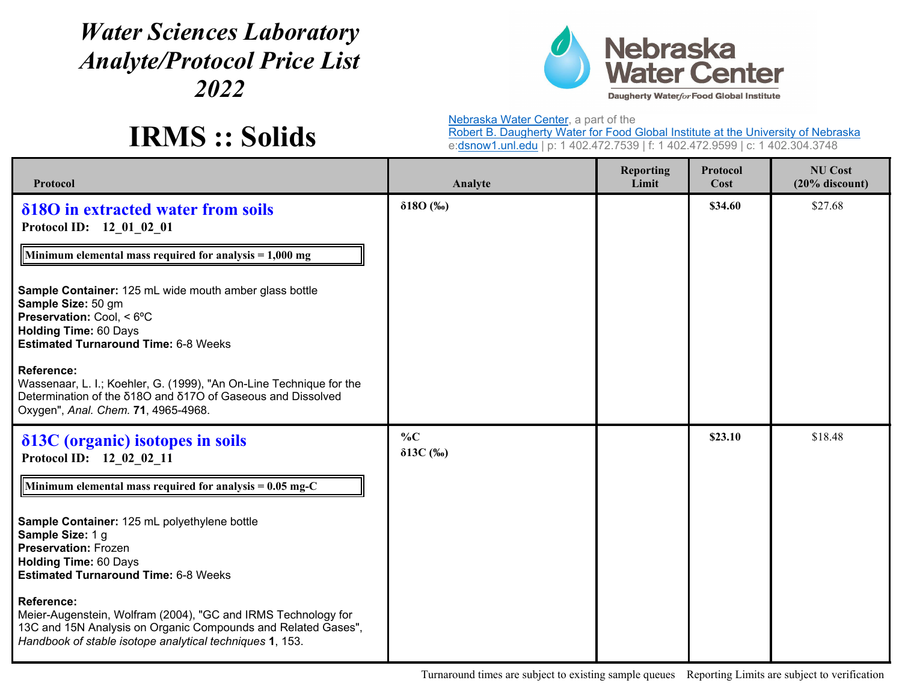## *Water Sciences Laboratory Analyte/Protocol Price List 2022*



**IRMS :: Solids**

Nebraska Water Center, a part of the

Robert B. Daugherty Water for Food Global Institute at the University of Nebraska e:<u>dsnow1.unl.edu</u> | p: 1 402.472.7539 | f: 1 402.472.9599 | c: 1 402.304.3748

| Protocol                                                                                                                                                                                                        | Analyte                    | <b>Reporting</b><br>Limit | Protocol<br>Cost | <b>NU Cost</b><br>$(20%$ discount) |
|-----------------------------------------------------------------------------------------------------------------------------------------------------------------------------------------------------------------|----------------------------|---------------------------|------------------|------------------------------------|
| δ180 in extracted water from soils<br>Protocol ID: 12 01 02 01<br>Minimum elemental mass required for analysis $= 1,000$ mg                                                                                     | $\delta 180$ (%o)          |                           | \$34.60          | \$27.68                            |
| Sample Container: 125 mL wide mouth amber glass bottle<br>Sample Size: 50 gm<br>Preservation: Cool, < 6°C<br><b>Holding Time: 60 Days</b><br><b>Estimated Turnaround Time: 6-8 Weeks</b>                        |                            |                           |                  |                                    |
| <b>Reference:</b><br>Wassenaar, L. I.; Koehler, G. (1999), "An On-Line Technique for the<br>Determination of the δ18O and δ17O of Gaseous and Dissolved<br>Oxygen", Anal. Chem. 71, 4965-4968.                  |                            |                           |                  |                                    |
| $\delta$ 13C (organic) isotopes in soils<br>Protocol ID: 12 02 02 11                                                                                                                                            | $\%C$<br>$\delta 13C$ (%o) |                           | \$23.10          | \$18.48                            |
| Minimum elemental mass required for analysis = $0.05$ mg-C                                                                                                                                                      |                            |                           |                  |                                    |
| Sample Container: 125 mL polyethylene bottle<br>Sample Size: 1 g<br><b>Preservation: Frozen</b><br><b>Holding Time: 60 Days</b><br><b>Estimated Turnaround Time: 6-8 Weeks</b>                                  |                            |                           |                  |                                    |
| <b>Reference:</b><br>Meier-Augenstein, Wolfram (2004), "GC and IRMS Technology for<br>13C and 15N Analysis on Organic Compounds and Related Gases",<br>Handbook of stable isotope analytical techniques 1, 153. |                            |                           |                  |                                    |

Turnaround times are subject to existing sample queues Reporting Limits are subject to verification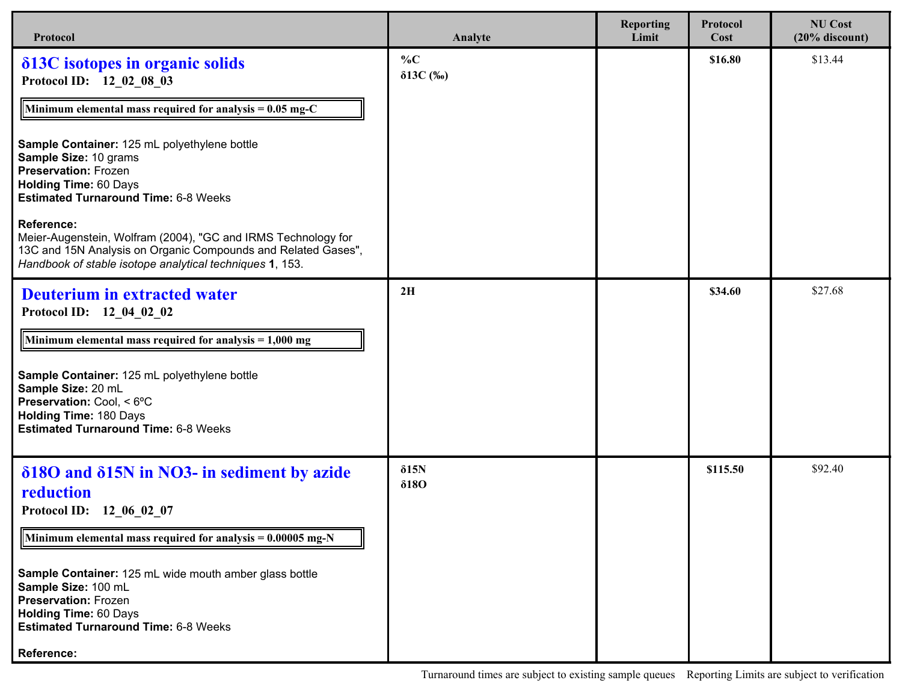| Protocol                                                                                                                                                                                                                                                                                                                                                                                        | Analyte                      | <b>Reporting</b><br>Limit | Protocol<br>Cost | <b>NU Cost</b><br>$(20%$ discount) |
|-------------------------------------------------------------------------------------------------------------------------------------------------------------------------------------------------------------------------------------------------------------------------------------------------------------------------------------------------------------------------------------------------|------------------------------|---------------------------|------------------|------------------------------------|
| δ13C isotopes in organic solids<br>Protocol ID: 12_02_08_03<br>Minimum elemental mass required for analysis = $0.05$ mg-C<br>Sample Container: 125 mL polyethylene bottle<br>Sample Size: 10 grams<br><b>Preservation: Frozen</b><br><b>Holding Time: 60 Days</b><br><b>Estimated Turnaround Time: 6-8 Weeks</b><br>Reference:<br>Meier-Augenstein, Wolfram (2004), "GC and IRMS Technology for | $\%C$<br>$\delta 13C$ (%o)   |                           | \$16.80          | \$13.44                            |
| 13C and 15N Analysis on Organic Compounds and Related Gases",<br>Handbook of stable isotope analytical techniques 1, 153.                                                                                                                                                                                                                                                                       |                              |                           |                  |                                    |
| <b>Deuterium in extracted water</b><br>Protocol ID: 12 04 02 02<br>Minimum elemental mass required for analysis $= 1,000$ mg<br>Sample Container: 125 mL polyethylene bottle<br>Sample Size: 20 mL<br>Preservation: Cool, < 6°C<br><b>Holding Time: 180 Days</b><br><b>Estimated Turnaround Time: 6-8 Weeks</b>                                                                                 | 2H                           |                           | \$34.60          | \$27.68                            |
| δ180 and δ15N in NO3- in sediment by azide<br>reduction<br>Protocol ID: 12 06 02 07<br>Minimum elemental mass required for analysis = $0.00005$ mg-N<br>Sample Container: 125 mL wide mouth amber glass bottle<br>Sample Size: 100 mL<br><b>Preservation: Frozen</b><br><b>Holding Time: 60 Days</b><br><b>Estimated Turnaround Time: 6-8 Weeks</b><br>Reference:                               | $\delta$ 15N<br>$\delta$ 180 |                           | \$115.50         | \$92.40                            |